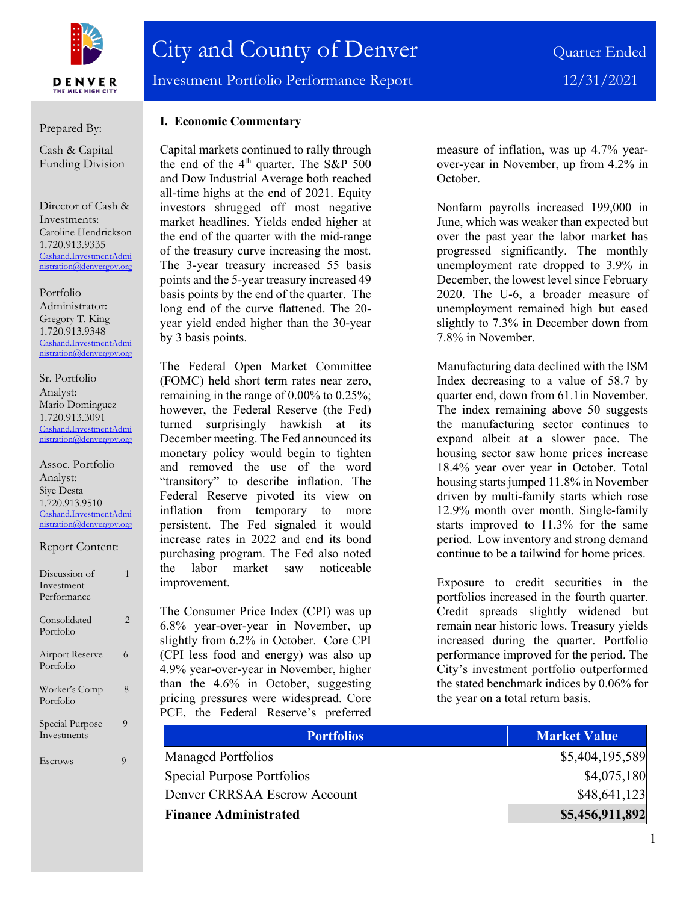

Prepared By:

Cash & Capital Funding Division

Director of Cash & Investments: Caroline Hendrickson 1.720.913.9335 [Cashand.InvestmentAdmi](mailto:Cashand.InvestmentAdministration@denvergov.org) [nistration@denvergov.org](mailto:Cashand.InvestmentAdministration@denvergov.org)

Portfolio Administrator: Gregory T. King 1.720.913.9348 [Cashand.InvestmentAdmi](mailto:Cashand.InvestmentAdministration@denvergov.org) [nistration@denvergov.org](mailto:Cashand.InvestmentAdministration@denvergov.org)

Sr. Portfolio Analyst: Mario Dominguez 1.720.913.3091 [Cashand.InvestmentAdmi](mailto:Cashand.InvestmentAdministration@denvergov.org) [nistration@denvergov.org](mailto:Cashand.InvestmentAdministration@denvergov.org)

Assoc. Portfolio Analyst: Siye Desta 1.720.913.9510 [Cashand.InvestmentAdmi](mailto:Cashand.InvestmentAdministration@denvergov.org) [nistration@denvergov.org](mailto:Cashand.InvestmentAdministration@denvergov.org)

Report Content:

| Discussion of<br>Investment<br>Performance |   |
|--------------------------------------------|---|
| Consolidated<br>Portfolio                  | 2 |
| Airport Reserve<br>Portfolio               | 6 |
| Worker's Comp<br>Portfolio                 | 8 |
| Special Purpose<br>Investments             | 9 |

Escrows 9

### **I. Economic Commentary**

Capital markets continued to rally through the end of the  $4<sup>th</sup>$  quarter. The S&P 500 and Dow Industrial Average both reached all-time highs at the end of 2021. Equity investors shrugged off most negative market headlines. Yields ended higher at the end of the quarter with the mid-range of the treasury curve increasing the most. The 3-year treasury increased 55 basis points and the 5-year treasury increased 49 basis points by the end of the quarter. The long end of the curve flattened. The 20 year yield ended higher than the 30-year by 3 basis points.

The Federal Open Market Committee (FOMC) held short term rates near zero, remaining in the range of 0.00% to 0.25%; however, the Federal Reserve (the Fed) turned surprisingly hawkish at its December meeting. The Fed announced its monetary policy would begin to tighten and removed the use of the word "transitory" to describe inflation. The Federal Reserve pivoted its view on inflation from temporary to more persistent. The Fed signaled it would increase rates in 2022 and end its bond purchasing program. The Fed also noted the labor market saw noticeable improvement.

The Consumer Price Index (CPI) was up 6.8% year-over-year in November, up slightly from 6.2% in October. Core CPI (CPI less food and energy) was also up 4.9% year-over-year in November, higher than the 4.6% in October, suggesting pricing pressures were widespread. Core PCE, the Federal Reserve's preferred measure of inflation, was up 4.7% yearover-year in November, up from 4.2% in October.

Nonfarm payrolls increased 199,000 in June, which was weaker than expected but over the past year the labor market has progressed significantly. The monthly unemployment rate dropped to 3.9% in December, the lowest level since February 2020. The U-6, a broader measure of unemployment remained high but eased slightly to 7.3% in December down from 7.8% in November.

Manufacturing data declined with the ISM Index decreasing to a value of 58.7 by quarter end, down from 61.1in November. The index remaining above 50 suggests the manufacturing sector continues to expand albeit at a slower pace. The housing sector saw home prices increase 18.4% year over year in October. Total housing starts jumped 11.8% in November driven by multi-family starts which rose 12.9% month over month. Single-family starts improved to 11.3% for the same period. Low inventory and strong demand continue to be a tailwind for home prices.

Exposure to credit securities in the portfolios increased in the fourth quarter. Credit spreads slightly widened but remain near historic lows. Treasury yields increased during the quarter. Portfolio performance improved for the period. The City's investment portfolio outperformed the stated benchmark indices by 0.06% for the year on a total return basis.

| <b>Portfolios</b>            | <b>Market Value</b> |
|------------------------------|---------------------|
| Managed Portfolios           | \$5,404,195,589     |
| Special Purpose Portfolios   | \$4,075,180         |
| Denver CRRSAA Escrow Account | \$48,641,123        |
| <b>Finance Administrated</b> | \$5,456,911,892     |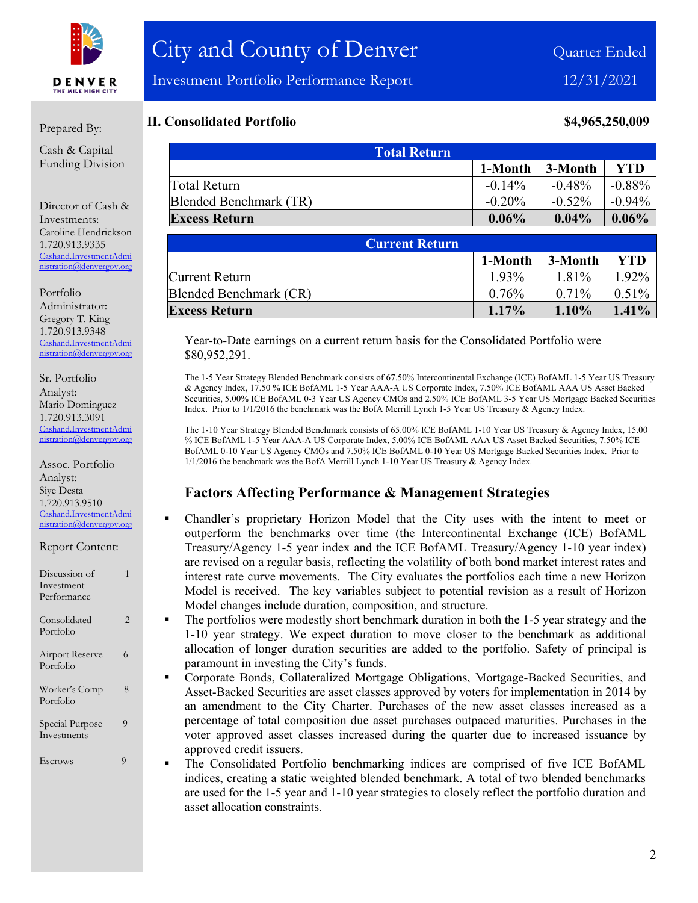

### Prepared By:

Cash & Capital Funding Division

Director of Cash & Investments: Caroline Hendrickson 1.720.913.9335 [Cashand.InvestmentAdmi](mailto:Cashand.InvestmentAdministration@denvergov.org) [nistration@denvergov.org](mailto:Cashand.InvestmentAdministration@denvergov.org)

Portfolio Administrator: Gregory T. King 1.720.913.9348 [Cashand.InvestmentAdmi](mailto:Cashand.InvestmentAdministration@denvergov.org) [nistration@denvergov.org](mailto:Cashand.InvestmentAdministration@denvergov.org)

Sr. Portfolio Analyst: Mario Dominguez 1.720.913.3091 [Cashand.InvestmentAdmi](mailto:Cashand.InvestmentAdministration@denvergov.org) [nistration@denvergov.org](mailto:Cashand.InvestmentAdministration@denvergov.org)

Assoc. Portfolio Analyst: Siye Desta 1.720.913.9510 [Cashand.InvestmentAdmi](mailto:Cashand.InvestmentAdministration@denvergov.org) [nistration@denvergov.org](mailto:Cashand.InvestmentAdministration@denvergov.org)

| Discussion of |  |
|---------------|--|
| Investment    |  |
| Performance   |  |
|               |  |
| Consolidated  |  |
| Portfolio     |  |

Report Content:

Airport Reserve 6 Portfolio

Worker's Comp 8 Portfolio Special Purpose 9

Investments

Escrows 9

### **II. Consolidated Portfolio 84,965,250,009**

| <b>Total Return</b>    |           |           |           |  |
|------------------------|-----------|-----------|-----------|--|
|                        | 1-Month   | 3-Month   | YTD       |  |
| Total Return           | $-0.14%$  | $-0.48\%$ | -0.88%    |  |
| Blended Benchmark (TR) | $-0.20\%$ | $-0.52\%$ | $-0.94\%$ |  |
| <b>Excess Return</b>   | $0.06\%$  | $0.04\%$  | $0.06\%$  |  |

| <b>Current Return</b>  |          |          |          |
|------------------------|----------|----------|----------|
|                        | 1-Month  | 3-Month  | YTD      |
| Current Return         | 1.93%    | 1.81%    | 1.92%    |
| Blended Benchmark (CR) | $0.76\%$ | $0.71\%$ | $0.51\%$ |
| <b>Excess Return</b>   | $1.17\%$ | $1.10\%$ | $1.41\%$ |

Year-to-Date earnings on a current return basis for the Consolidated Portfolio were \$80,952,291.

The 1-5 Year Strategy Blended Benchmark consists of 67.50% Intercontinental Exchange (ICE) BofAML 1-5 Year US Treasury & Agency Index, 17.50 % ICE BofAML 1-5 Year AAA-A US Corporate Index, 7.50% ICE BofAML AAA US Asset Backed Securities, 5.00% ICE BofAML 0-3 Year US Agency CMOs and 2.50% ICE BofAML 3-5 Year US Mortgage Backed Securities Index. Prior to 1/1/2016 the benchmark was the BofA Merrill Lynch 1-5 Year US Treasury & Agency Index.

The 1-10 Year Strategy Blended Benchmark consists of 65.00% ICE BofAML 1-10 Year US Treasury & Agency Index, 15.00 % ICE BofAML 1-5 Year AAA-A US Corporate Index, 5.00% ICE BofAML AAA US Asset Backed Securities, 7.50% ICE BofAML 0-10 Year US Agency CMOs and 7.50% ICE BofAML 0-10 Year US Mortgage Backed Securities Index. Prior to 1/1/2016 the benchmark was the BofA Merrill Lynch 1-10 Year US Treasury & Agency Index.

### **Factors Affecting Performance & Management Strategies**

- Chandler's proprietary Horizon Model that the City uses with the intent to meet or outperform the benchmarks over time (the Intercontinental Exchange (ICE) BofAML Treasury/Agency 1-5 year index and the ICE BofAML Treasury/Agency 1-10 year index) are revised on a regular basis, reflecting the volatility of both bond market interest rates and interest rate curve movements. The City evaluates the portfolios each time a new Horizon Model is received. The key variables subject to potential revision as a result of Horizon Model changes include duration, composition, and structure.
- The portfolios were modestly short benchmark duration in both the 1-5 year strategy and the 1-10 year strategy. We expect duration to move closer to the benchmark as additional allocation of longer duration securities are added to the portfolio. Safety of principal is paramount in investing the City's funds.
- Corporate Bonds, Collateralized Mortgage Obligations, Mortgage-Backed Securities, and Asset-Backed Securities are asset classes approved by voters for implementation in 2014 by an amendment to the City Charter. Purchases of the new asset classes increased as a percentage of total composition due asset purchases outpaced maturities. Purchases in the voter approved asset classes increased during the quarter due to increased issuance by approved credit issuers.
- The Consolidated Portfolio benchmarking indices are comprised of five ICE BofAML indices, creating a static weighted blended benchmark. A total of two blended benchmarks are used for the 1-5 year and 1-10 year strategies to closely reflect the portfolio duration and asset allocation constraints.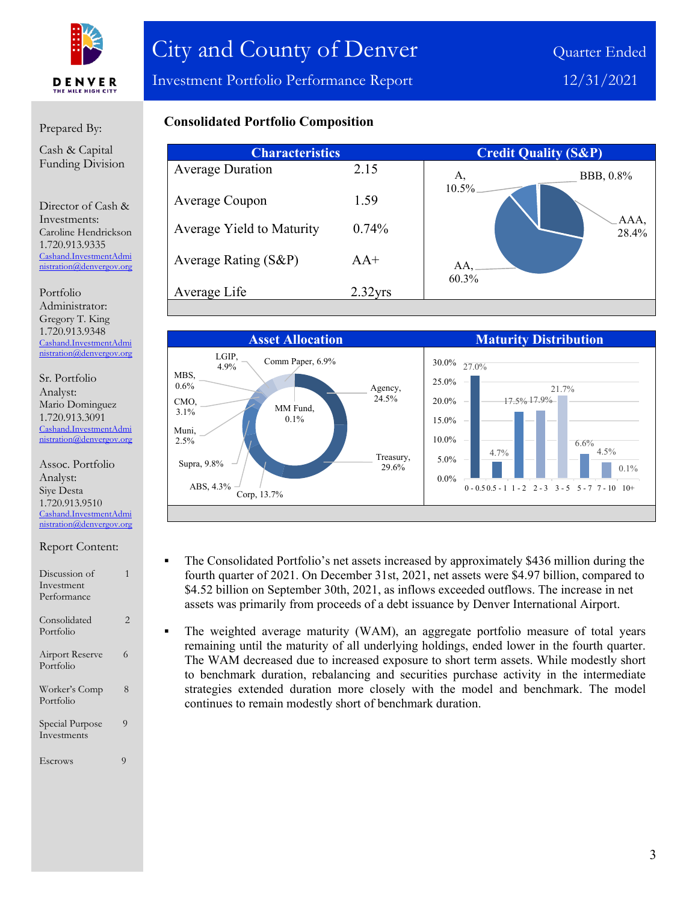

Investment Portfolio Performance Report 12/31/2021

### Prepared By:

Cash & Capital Funding Division

Director of Cash & Investments: Caroline Hendrickson 1.720.913.9335 [Cashand.InvestmentAdmi](mailto:Cashand.InvestmentAdministration@denvergov.org) [nistration@denvergov.org](mailto:Cashand.InvestmentAdministration@denvergov.org)

Portfolio Administrator: Gregory T. King 1.720.913.9348 [Cashand.InvestmentAdmi](mailto:Cashand.InvestmentAdministration@denvergov.org) [nistration@denvergov.org](mailto:Cashand.InvestmentAdministration@denvergov.org)

Sr. Portfolio Analyst: Mario Dominguez 1.720.913.3091 [Cashand.InvestmentAdmi](mailto:Cashand.InvestmentAdministration@denvergov.org) [nistration@denvergov.org](mailto:Cashand.InvestmentAdministration@denvergov.org)

Assoc. Portfolio Analyst: Siye Desta 1.720.913.9510 [Cashand.InvestmentAdmi](mailto:Cashand.InvestmentAdministration@denvergov.org) [nistration@denvergov.org](mailto:Cashand.InvestmentAdministration@denvergov.org)

| Discussion of<br>Investment<br>Performance |                |
|--------------------------------------------|----------------|
| Consolidated<br>Portfolio                  | 2              |
| <b>Airport Reserve</b><br>Portfolio        | 6              |
| Worker's Comp<br>Portfolio                 | 8              |
| Special Purpose<br>Investments             | 9              |
| Escrows                                    | $\overline{O}$ |

## **Consolidated Portfolio Composition**

| <b>Characteristics</b> |     | <b>Credit Quality (S&amp;P)</b> |
|------------------------|-----|---------------------------------|
| 2.15                   | A,  | BBB, 0.8%                       |
| 1.59                   |     |                                 |
| $0.74\%$               |     | AAA,<br>28.4%                   |
| $AA^+$                 | AA. |                                 |
| $2.32$ yrs             |     |                                 |
|                        |     | 10.5%<br>60.3%                  |



- The Consolidated Portfolio's net assets increased by approximately \$436 million during the fourth quarter of 2021. On December 31st, 2021, net assets were \$4.97 billion, compared to \$4.52 billion on September 30th, 2021, as inflows exceeded outflows. The increase in net assets was primarily from proceeds of a debt issuance by Denver International Airport.
- The weighted average maturity (WAM), an aggregate portfolio measure of total years remaining until the maturity of all underlying holdings, ended lower in the fourth quarter. The WAM decreased due to increased exposure to short term assets. While modestly short to benchmark duration, rebalancing and securities purchase activity in the intermediate strategies extended duration more closely with the model and benchmark. The model continues to remain modestly short of benchmark duration.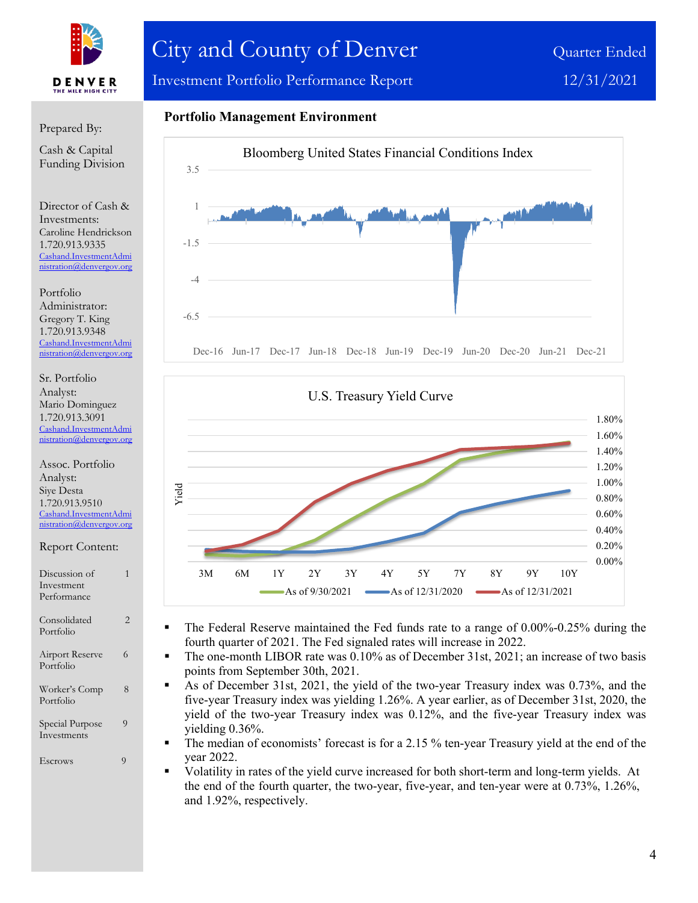

# City and County of Denver Quarter Ended

Investment Portfolio Performance Report 12/31/2021

#### Prepared By:

Cash & Capital Funding Division

Director of Cash & Investments: Caroline Hendrickson 1.720.913.9335 [Cashand.InvestmentAdmi](mailto:Cashand.InvestmentAdministration@denvergov.org) [nistration@denvergov.org](mailto:Cashand.InvestmentAdministration@denvergov.org)

Portfolio Administrator: Gregory T. King 1.720.913.9348 [Cashand.InvestmentAdmi](mailto:Cashand.InvestmentAdministration@denvergov.org) [nistration@denvergov.org](mailto:Cashand.InvestmentAdministration@denvergov.org)

Sr. Portfolio Analyst: Mario Dominguez 1.720.913.3091 [Cashand.InvestmentAdmi](mailto:Cashand.InvestmentAdministration@denvergov.org) tration@denvergov.org

Assoc. Portfolio Analyst: Siye Desta 1.720.913.9510 [Cashand.InvestmentAdmi](mailto:Cashand.InvestmentAdministration@denvergov.org) [nistration@denvergov.org](mailto:Cashand.InvestmentAdministration@denvergov.org)

Report Content:

Discussion of 1 Investment Performance Consolidated 2 Portfolio Airport Reserve 6 Portfolio Worker's Comp 8 Portfolio Special Purpose 9 Investments Escrows 9









- The Federal Reserve maintained the Fed funds rate to a range of 0.00%-0.25% during the fourth quarter of 2021. The Fed signaled rates will increase in 2022.
- The one-month LIBOR rate was 0.10% as of December 31st, 2021; an increase of two basis points from September 30th, 2021.
- As of December 31st, 2021, the yield of the two-year Treasury index was 0.73%, and the five-year Treasury index was yielding 1.26%. A year earlier, as of December 31st, 2020, the yield of the two-year Treasury index was 0.12%, and the five-year Treasury index was yielding 0.36%.
- The median of economists' forecast is for a 2.15 % ten-year Treasury yield at the end of the year 2022.
- Volatility in rates of the yield curve increased for both short-term and long-term yields. At the end of the fourth quarter, the two-year, five-year, and ten-year were at 0.73%, 1.26%, and 1.92%, respectively.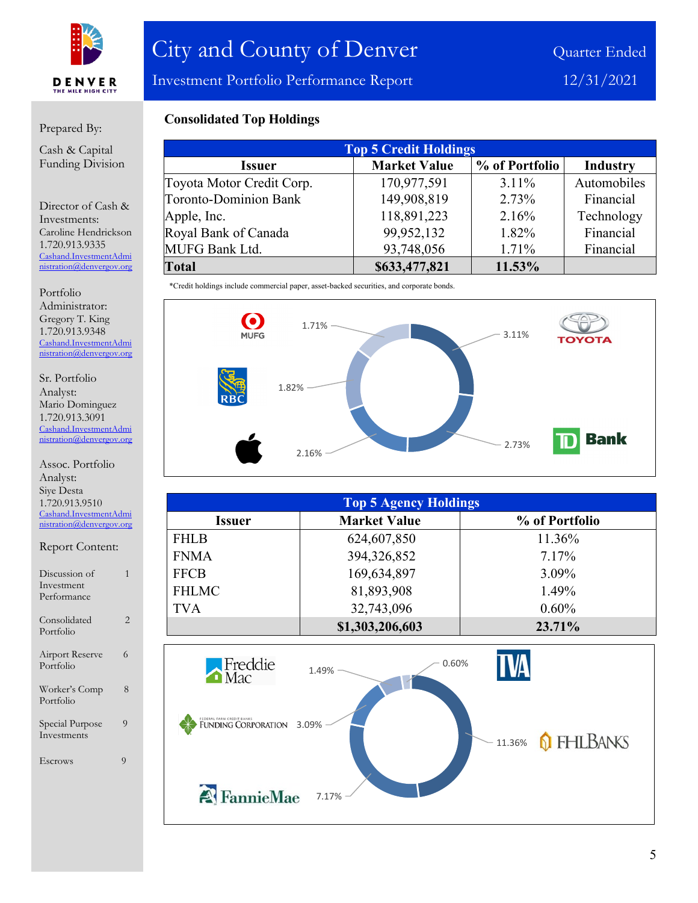

Investment Portfolio Performance Report 12/31/2021

### Prepared By:

Cash & Capital Funding Division

Director of Cash & Investments: Caroline Hendrickson 1.720.913.9335 [Cashand.InvestmentAdmi](mailto:Cashand.InvestmentAdministration@denvergov.org) [nistration@denvergov.org](mailto:Cashand.InvestmentAdministration@denvergov.org)

Portfolio Administrator: Gregory T. King 1.720.913.9348 [Cashand.InvestmentAdmi](mailto:Cashand.InvestmentAdministration@denvergov.org) [nistration@denvergov.org](mailto:Cashand.InvestmentAdministration@denvergov.org)

Sr. Portfolio Analyst: Mario Dominguez 1.720.913.3091 [Cashand.InvestmentAdmi](mailto:Cashand.InvestmentAdministration@denvergov.org) [nistration@denvergov.org](mailto:Cashand.InvestmentAdministration@denvergov.org)

#### Assoc. Portfolio Analyst: Siye Desta 1.720.913.9510 [Cashand.InvestmentAdmi](mailto:Cashand.InvestmentAdministration@denvergov.org) [nistration@denvergov.org](mailto:Cashand.InvestmentAdministration@denvergov.org)

Report Content: Discussion of 1 Investment Performance Consolidated 2 Portfolio Airport Reserve 6 Portfolio Worker's Comp 8 Portfolio Special Purpose 9 Investments Escrows 9

### **Consolidated Top Holdings**

| <b>Top 5 Credit Holdings</b> |                     |                |                 |  |
|------------------------------|---------------------|----------------|-----------------|--|
| <b>Issuer</b>                | <b>Market Value</b> | % of Portfolio | <b>Industry</b> |  |
| Toyota Motor Credit Corp.    | 170,977,591         | $3.11\%$       | Automobiles     |  |
| <b>Toronto-Dominion Bank</b> | 149,908,819         | 2.73%          | Financial       |  |
| Apple, Inc.                  | 118,891,223         | 2.16%          | Technology      |  |
| Royal Bank of Canada         | 99,952,132          | 1.82%          | Financial       |  |
| <b>MUFG Bank Ltd.</b>        | 93,748,056          | 1.71%          | Financial       |  |
| <b>Total</b>                 | \$633,477,821       | 11.53%         |                 |  |

\*Credit holdings include commercial paper, asset-backed securities, and corporate bonds.



| <b>Top 5 Agency Holdings</b> |                     |                |  |  |
|------------------------------|---------------------|----------------|--|--|
| <b>Issuer</b>                | <b>Market Value</b> | % of Portfolio |  |  |
| <b>FHLB</b>                  | 624,607,850         | 11.36%         |  |  |
| <b>FNMA</b>                  | 394,326,852         | 7.17%          |  |  |
| <b>FFCB</b>                  | 169,634,897         | $3.09\%$       |  |  |
| <b>FHLMC</b>                 | 81,893,908          | 1.49%          |  |  |
| <b>TVA</b>                   | 32,743,096          | $0.60\%$       |  |  |
|                              | \$1,303,206,603     | 23.71%         |  |  |

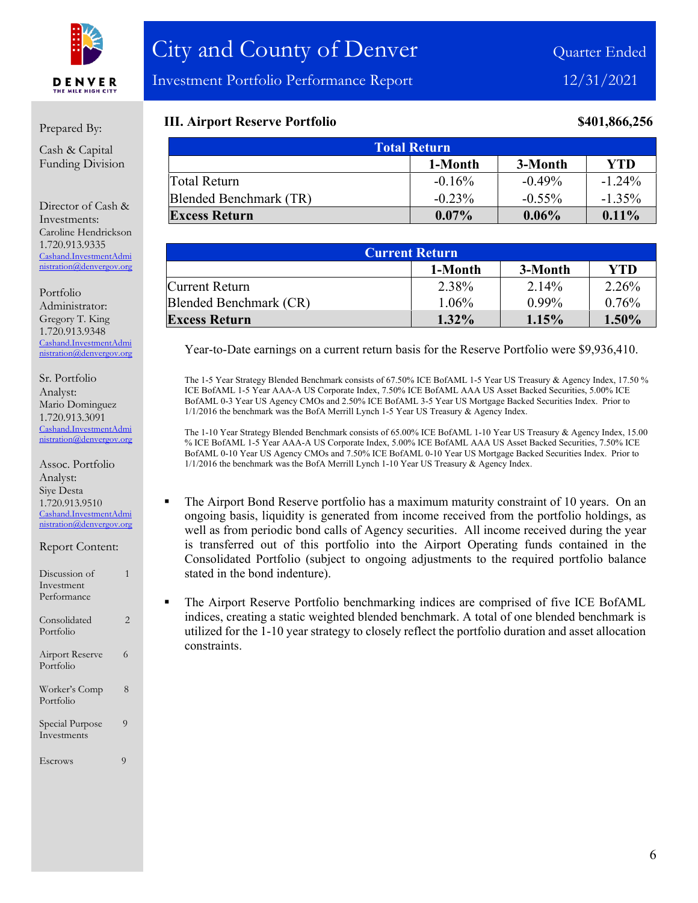

Investment Portfolio Performance Report 12/31/2021

### Prepared By:

Cash & Capital Funding Division

Director of Cash & Investments: Caroline Hendrickson 1.720.913.9335 [Cashand.InvestmentAdmi](mailto:Cashand.InvestmentAdministration@denvergov.org) [nistration@denvergov.org](mailto:Cashand.InvestmentAdministration@denvergov.org)

Portfolio Administrator: Gregory T. King 1.720.913.9348 [Cashand.InvestmentAdmi](mailto:Cashand.InvestmentAdministration@denvergov.org) [nistration@denvergov.org](mailto:Cashand.InvestmentAdministration@denvergov.org)

Sr. Portfolio Analyst: Mario Dominguez 1.720.913.3091 [Cashand.InvestmentAdmi](mailto:Cashand.InvestmentAdministration@denvergov.org) [nistration@denvergov.org](mailto:Cashand.InvestmentAdministration@denvergov.org)

Assoc. Portfolio Analyst: Siye Desta 1.720.913.9510 [Cashand.InvestmentAdmi](mailto:Cashand.InvestmentAdministration@denvergov.org) [nistration@denvergov.org](mailto:Cashand.InvestmentAdministration@denvergov.org)

Report Content:

| Discussion of<br>Investment<br>Performance | 1              |
|--------------------------------------------|----------------|
| Consolidated<br>Portfolio                  | $\overline{2}$ |
| <b>Airport Reserve</b><br>Portfolio        | 6              |
| Worker's Comp<br>Portfolio                 | 8              |
| Special Purpose<br>Investments             | 9              |
| Escrows                                    | 9              |

### **III. Airport Reserve Portfolio \$401,866,256**

| <b>Total Return</b>              |           |           |           |  |  |  |
|----------------------------------|-----------|-----------|-----------|--|--|--|
| <b>YTD</b><br>3-Month<br>1-Month |           |           |           |  |  |  |
| Total Return                     | $-0.16%$  | $-0.49\%$ | $-1.24\%$ |  |  |  |
| Blended Benchmark (TR)           | $-0.23\%$ | $-0.55\%$ | $-1.35\%$ |  |  |  |
| <b>Excess Return</b>             | $0.07\%$  | $0.06\%$  | $0.11\%$  |  |  |  |

| <b>Current Return</b>  |          |          |       |  |
|------------------------|----------|----------|-------|--|
|                        | 1-Month  | 3-Month  | YTD   |  |
| Current Return         | 2.38%    | 2.14%    | 2.26% |  |
| Blended Benchmark (CR) | $1.06\%$ | $0.99\%$ | 0.76% |  |
| <b>Excess Return</b>   | $1.32\%$ | 1.15%    | 1.50% |  |

Year-to-Date earnings on a current return basis for the Reserve Portfolio were \$9,936,410.

The 1-5 Year Strategy Blended Benchmark consists of 67.50% ICE BofAML 1-5 Year US Treasury & Agency Index, 17.50 % ICE BofAML 1-5 Year AAA-A US Corporate Index, 7.50% ICE BofAML AAA US Asset Backed Securities, 5.00% ICE BofAML 0-3 Year US Agency CMOs and 2.50% ICE BofAML 3-5 Year US Mortgage Backed Securities Index. Prior to 1/1/2016 the benchmark was the BofA Merrill Lynch 1-5 Year US Treasury & Agency Index.

The 1-10 Year Strategy Blended Benchmark consists of 65.00% ICE BofAML 1-10 Year US Treasury & Agency Index, 15.00 % ICE BofAML 1-5 Year AAA-A US Corporate Index, 5.00% ICE BofAML AAA US Asset Backed Securities, 7.50% ICE BofAML 0-10 Year US Agency CMOs and 7.50% ICE BofAML 0-10 Year US Mortgage Backed Securities Index. Prior to 1/1/2016 the benchmark was the BofA Merrill Lynch 1-10 Year US Treasury & Agency Index.

- The Airport Bond Reserve portfolio has a maximum maturity constraint of 10 years. On an ongoing basis, liquidity is generated from income received from the portfolio holdings, as well as from periodic bond calls of Agency securities. All income received during the year is transferred out of this portfolio into the Airport Operating funds contained in the Consolidated Portfolio (subject to ongoing adjustments to the required portfolio balance stated in the bond indenture).
- The Airport Reserve Portfolio benchmarking indices are comprised of five ICE BofAML indices, creating a static weighted blended benchmark. A total of one blended benchmark is utilized for the 1-10 year strategy to closely reflect the portfolio duration and asset allocation constraints.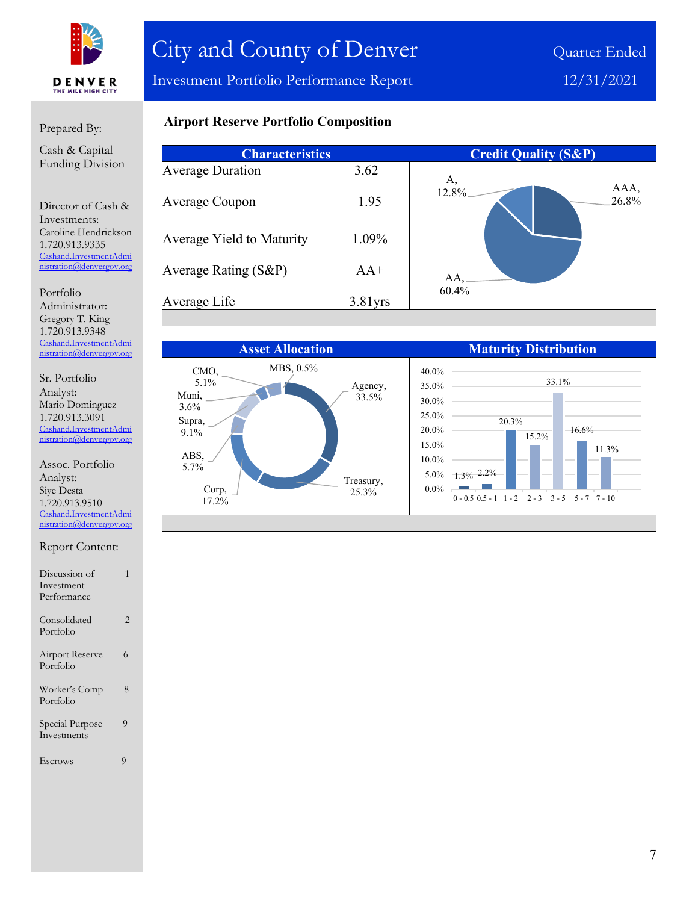

Investment Portfolio Performance Report 12/31/2021

### Prepared By:

Cash & Capital Funding Division

Director of Cash & Investments: Caroline Hendrickson 1.720.913.9335 [Cashand.InvestmentAdmi](mailto:Cashand.InvestmentAdministration@denvergov.org) [nistration@denvergov.org](mailto:Cashand.InvestmentAdministration@denvergov.org)

Portfolio Administrator: Gregory T. King 1.720.913.9348 [Cashand.InvestmentAdmi](mailto:Cashand.InvestmentAdministration@denvergov.org) [nistration@denvergov.org](mailto:Cashand.InvestmentAdministration@denvergov.org)

Sr. Portfolio Analyst: Mario Dominguez 1.720.913.3091 [Cashand.InvestmentAdmi](mailto:Cashand.InvestmentAdministration@denvergov.org) [nistration@denvergov.org](mailto:Cashand.InvestmentAdministration@denvergov.org)

Assoc. Portfolio Analyst: Siye Desta 1.720.913.9510 [Cashand.InvestmentAdmi](mailto:Cashand.InvestmentAdministration@denvergov.org) [nistration@denvergov.org](mailto:Cashand.InvestmentAdministration@denvergov.org)

#### Report Content:

| Discussion of                       |   |
|-------------------------------------|---|
| Investment                          |   |
| Performance                         |   |
| Consolidated<br>Portfolio           | 2 |
| <b>Airport Reserve</b><br>Portfolio | 6 |
| Worker's Comp<br>Portfolio          | 8 |
| Special Purpose<br>Investments      | 9 |
| Escrows                             | g |

# **Airport Reserve Portfolio Composition**

| <b>Characteristics</b>    |            | <b>Credit Quality (S&amp;P)</b> |
|---------------------------|------------|---------------------------------|
| <b>Average Duration</b>   | 3.62       | A,                              |
| Average Coupon            | 1.95       | AAA,<br>12.8%<br>26.8%          |
| Average Yield to Maturity | 1.09%      |                                 |
| Average Rating (S&P)      | $AA+$      | AA,                             |
| Average Life              | $3.81$ yrs | 60.4%                           |

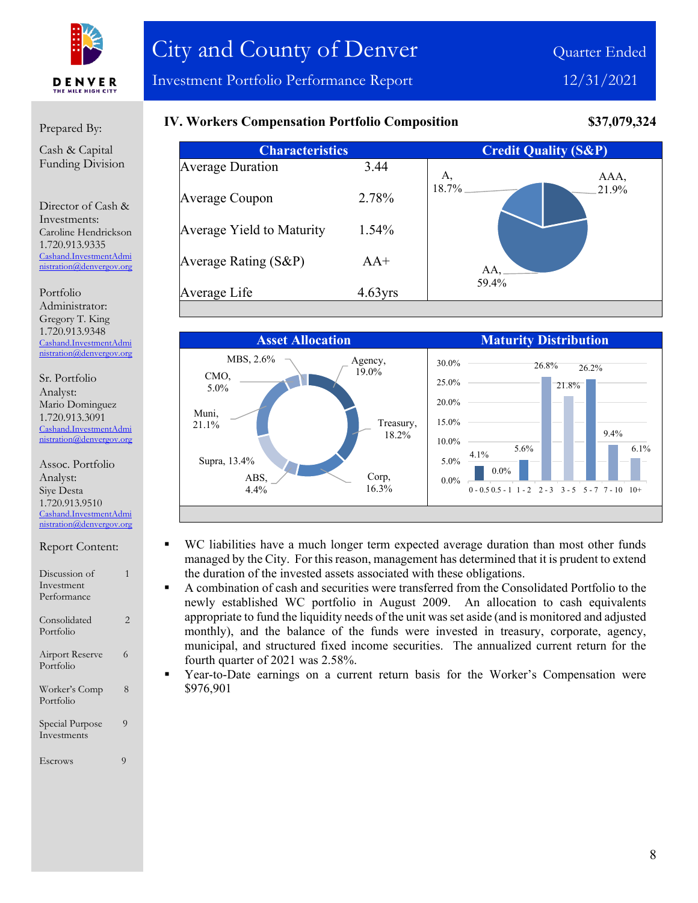

Prepared By:

**IV. Workers Compensation Portfolio Composition \$37,079,324**

**Characteristics Credit Quality (S&P)** Average Duration 3.44 Average Coupon 2.78% Average Yield to Maturity 1.54% Average Rating (S&P) AA+ Average Life 4.63yrs AAA, 21.9% AA, 59.4% A, 18.7%



- WC liabilities have a much longer term expected average duration than most other funds managed by the City. For this reason, management has determined that it is prudent to extend the duration of the invested assets associated with these obligations.
	- A combination of cash and securities were transferred from the Consolidated Portfolio to the newly established WC portfolio in August 2009. An allocation to cash equivalents appropriate to fund the liquidity needs of the unit was set aside (and is monitored and adjusted monthly), and the balance of the funds were invested in treasury, corporate, agency, municipal, and structured fixed income securities. The annualized current return for the fourth quarter of 2021 was 2.58%.
- Year-to-Date earnings on a current return basis for the Worker's Compensation were \$976,901

Cash & Capital Funding Division

Director of Cash & Investments: Caroline Hendrickson 1.720.913.9335 [Cashand.InvestmentAdmi](mailto:Cashand.InvestmentAdministration@denvergov.org) [nistration@denvergov.org](mailto:Cashand.InvestmentAdministration@denvergov.org)

Portfolio Administrator: Gregory T. King 1.720.913.9348 [Cashand.InvestmentAdmi](mailto:Cashand.InvestmentAdministration@denvergov.org) [nistration@denvergov.org](mailto:Cashand.InvestmentAdministration@denvergov.org)

Sr. Portfolio Analyst: Mario Dominguez 1.720.913.3091 [Cashand.InvestmentAdmi](mailto:Cashand.InvestmentAdministration@denvergov.org) [nistration@denvergov.org](mailto:Cashand.InvestmentAdministration@denvergov.org)

Assoc. Portfolio Analyst: Siye Desta 1.720.913.9510 [Cashand.InvestmentAdmi](mailto:Cashand.InvestmentAdministration@denvergov.org) [nistration@denvergov.org](mailto:Cashand.InvestmentAdministration@denvergov.org)

Discussion of 1

| Investment                     |   |
|--------------------------------|---|
| Performance                    |   |
| Consolidated<br>Portfolio      | 2 |
| Airport Reserve<br>Portfolio   | 6 |
| Worker's Comp<br>Portfolio     | 8 |
| Special Purpose<br>Investments | 9 |
| Escrows                        |   |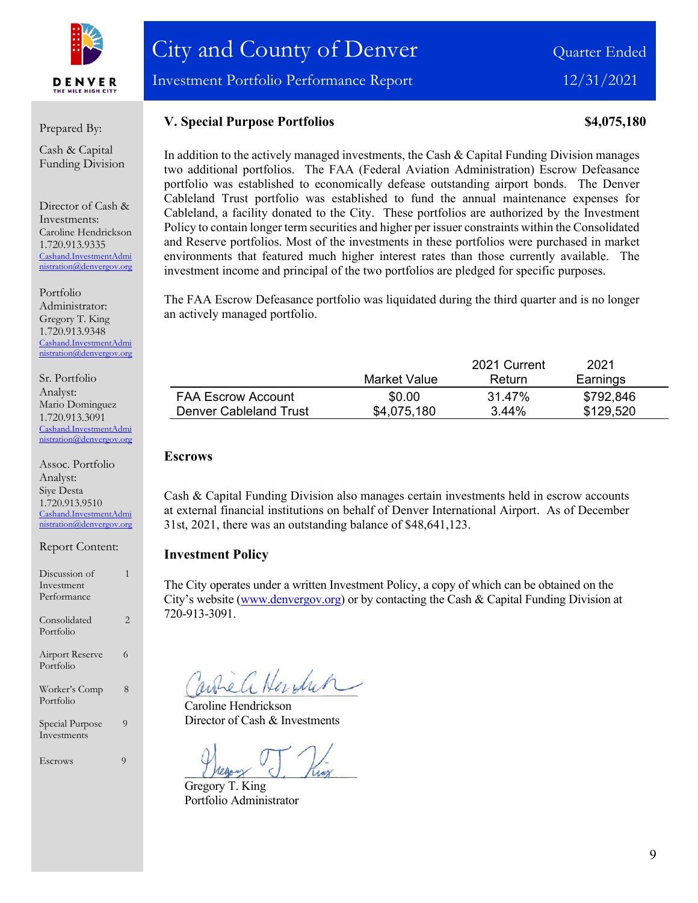

Investment Portfolio Performance Report 12/31/2021

#### Prepared By:

Cash & Capital Funding Division

Director of Cash & Investments: Caroline Hendrickson 1.720.913.9335 [Cashand.InvestmentAdmi](mailto:Cashand.InvestmentAdministration@denvergov.org) [nistration@denvergov.org](mailto:Cashand.InvestmentAdministration@denvergov.org)

Portfolio Administrator: Gregory T. King 1.720.913.9348 [Cashand.InvestmentAdmi](mailto:Cashand.InvestmentAdministration@denvergov.org) [nistration@denvergov.org](mailto:Cashand.InvestmentAdministration@denvergov.org)

Sr. Portfolio Analyst: Mario Dominguez 1.720.913.3091 [Cashand.InvestmentAdmi](mailto:Cashand.InvestmentAdministration@denvergov.org) tration@denvergov.org

Assoc. Portfolio Analyst: Siye Desta 1.720.913.9510 [Cashand.InvestmentAdmi](mailto:Cashand.InvestmentAdministration@denvergov.org) [nistration@denvergov.org](mailto:Cashand.InvestmentAdministration@denvergov.org)

Report Content:

| Discussion of                       |   |
|-------------------------------------|---|
| Investment                          |   |
| Performance                         |   |
| Consolidated<br>Portfolio           | 2 |
| <b>Airport Reserve</b><br>Portfolio | 6 |
| Worker's Comp<br>Portfolio          | 8 |
| Special Purpose<br>Investments      | 9 |
| Escrows                             | 9 |

**V. Special Purpose Portfolios 84,075,180** 

In addition to the actively managed investments, the Cash & Capital Funding Division manages two additional portfolios. The FAA (Federal Aviation Administration) Escrow Defeasance portfolio was established to economically defease outstanding airport bonds. The Denver Cableland Trust portfolio was established to fund the annual maintenance expenses for Cableland, a facility donated to the City. These portfolios are authorized by the Investment Policy to contain longer term securities and higher per issuer constraints within the Consolidated and Reserve portfolios. Most of the investments in these portfolios were purchased in market environments that featured much higher interest rates than those currently available. The investment income and principal of the two portfolios are pledged for specific purposes.

The FAA Escrow Defeasance portfolio was liquidated during the third quarter and is no longer an actively managed portfolio.

|                           |              | 2021 Current | 2021      |  |
|---------------------------|--------------|--------------|-----------|--|
|                           | Market Value | Return       | Earnings  |  |
| <b>FAA Escrow Account</b> | \$0.00       | 31.47%       | \$792,846 |  |
| Denver Cableland Trust    | \$4,075,180  | $3.44\%$     | \$129,520 |  |

#### **Escrows**

Cash & Capital Funding Division also manages certain investments held in escrow accounts at external financial institutions on behalf of Denver International Airport. As of December 31st, 2021, there was an outstanding balance of \$48,641,123.

#### **Investment Policy**

The City operates under a written Investment Policy, a copy of which can be obtained on the City's website [\(www.denvergov.org\)](http://www.denvergov.org/) or by contacting the Cash & Capital Funding Division at 720-913-3091.

When Hendrin

Caroline Hendrickson Director of Cash & Investments

Gregory T. King Portfolio Administrator